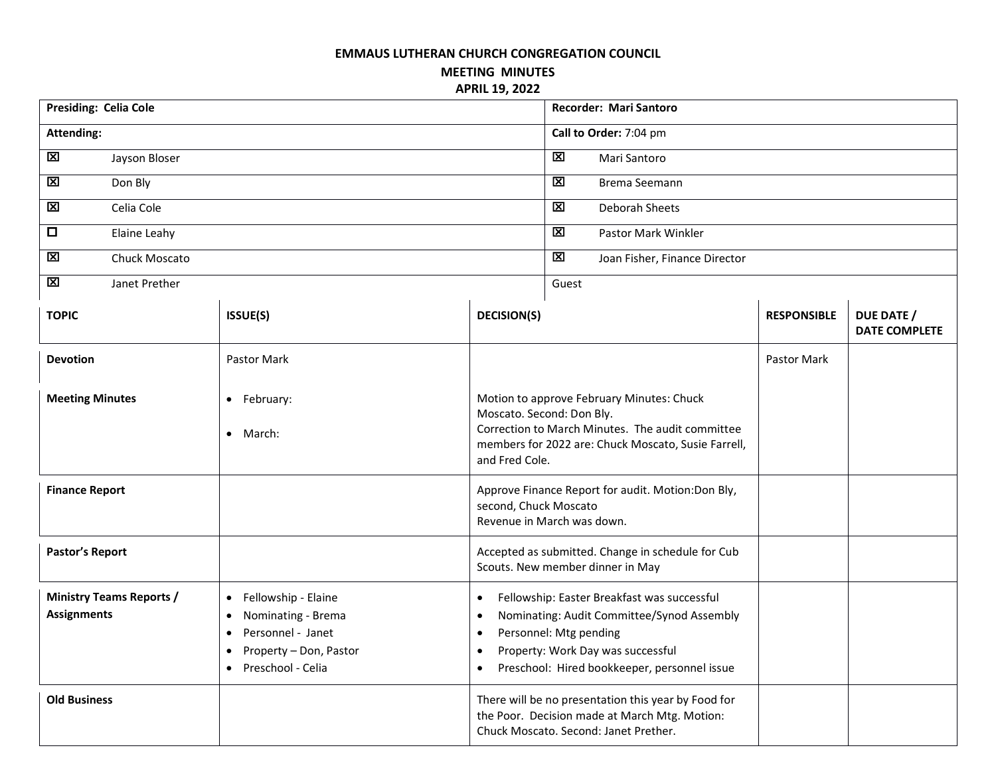## **EMMAUS LUTHERAN CHURCH CONGREGATION COUNCIL**

**MEETING MINUTES APRIL 19, 2022**

| Presiding: Celia Cole                                 |                                                                                                                                                                                |                                                                                                                                                                                                                                                              | <b>Recorder: Mari Santoro</b> |                                                          |                    |                                    |  |  |
|-------------------------------------------------------|--------------------------------------------------------------------------------------------------------------------------------------------------------------------------------|--------------------------------------------------------------------------------------------------------------------------------------------------------------------------------------------------------------------------------------------------------------|-------------------------------|----------------------------------------------------------|--------------------|------------------------------------|--|--|
| <b>Attending:</b>                                     |                                                                                                                                                                                |                                                                                                                                                                                                                                                              | Call to Order: 7:04 pm        |                                                          |                    |                                    |  |  |
| 区<br>Jayson Bloser                                    |                                                                                                                                                                                |                                                                                                                                                                                                                                                              |                               | 区<br>Mari Santoro                                        |                    |                                    |  |  |
| $\overline{\mathbf{z}}$<br>Don Bly                    |                                                                                                                                                                                |                                                                                                                                                                                                                                                              |                               | M<br>Brema Seemann                                       |                    |                                    |  |  |
| 区<br>Celia Cole                                       |                                                                                                                                                                                |                                                                                                                                                                                                                                                              |                               | 区<br>Deborah Sheets                                      |                    |                                    |  |  |
| $\Box$<br>Elaine Leahy                                |                                                                                                                                                                                |                                                                                                                                                                                                                                                              |                               | $\overline{\mathbf{x}}$<br>Pastor Mark Winkler           |                    |                                    |  |  |
| $\mathbf{\overline{X}}$<br>Chuck Moscato              |                                                                                                                                                                                |                                                                                                                                                                                                                                                              |                               | $\overline{\mathbf{x}}$<br>Joan Fisher, Finance Director |                    |                                    |  |  |
| $\mathbf{\overline{X}}$<br>Janet Prether              |                                                                                                                                                                                |                                                                                                                                                                                                                                                              |                               | Guest                                                    |                    |                                    |  |  |
| <b>TOPIC</b>                                          | ISSUE(S)                                                                                                                                                                       | <b>DECISION(S)</b>                                                                                                                                                                                                                                           |                               |                                                          | <b>RESPONSIBLE</b> | DUE DATE /<br><b>DATE COMPLETE</b> |  |  |
| <b>Devotion</b>                                       | Pastor Mark                                                                                                                                                                    |                                                                                                                                                                                                                                                              |                               |                                                          | Pastor Mark        |                                    |  |  |
| <b>Meeting Minutes</b>                                | • February:<br>• March:                                                                                                                                                        | Motion to approve February Minutes: Chuck<br>Moscato. Second: Don Bly.<br>Correction to March Minutes. The audit committee<br>members for 2022 are: Chuck Moscato, Susie Farrell,<br>and Fred Cole.                                                          |                               |                                                          |                    |                                    |  |  |
| <b>Finance Report</b>                                 |                                                                                                                                                                                | Approve Finance Report for audit. Motion:Don Bly,<br>second, Chuck Moscato<br>Revenue in March was down.                                                                                                                                                     |                               |                                                          |                    |                                    |  |  |
| Pastor's Report                                       |                                                                                                                                                                                | Accepted as submitted. Change in schedule for Cub<br>Scouts. New member dinner in May                                                                                                                                                                        |                               |                                                          |                    |                                    |  |  |
| <b>Ministry Teams Reports /</b><br><b>Assignments</b> | Fellowship - Elaine<br>$\bullet$<br>Nominating - Brema<br>$\bullet$<br>Personnel - Janet<br>$\bullet$<br>Property - Don, Pastor<br>$\bullet$<br>Preschool - Celia<br>$\bullet$ | Fellowship: Easter Breakfast was successful<br>$\bullet$<br>Nominating: Audit Committee/Synod Assembly<br>$\bullet$<br>Personnel: Mtg pending<br>$\bullet$<br>Property: Work Day was successful<br>Preschool: Hired bookkeeper, personnel issue<br>$\bullet$ |                               |                                                          |                    |                                    |  |  |
| <b>Old Business</b>                                   |                                                                                                                                                                                | There will be no presentation this year by Food for<br>the Poor. Decision made at March Mtg. Motion:<br>Chuck Moscato. Second: Janet Prether.                                                                                                                |                               |                                                          |                    |                                    |  |  |